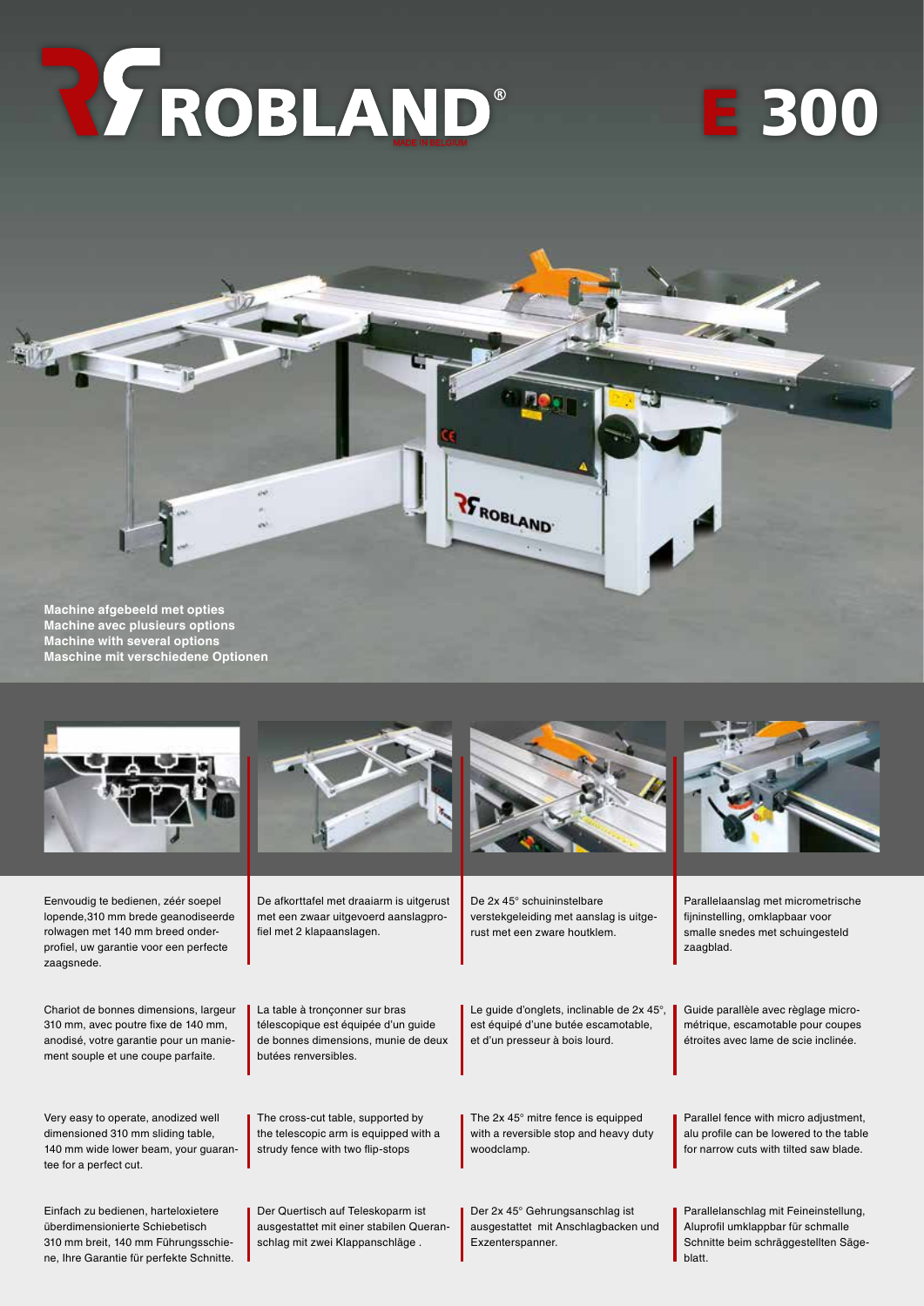# REPROBLAND®

# E 300





Eenvoudig te bedienen, zéér soepel lopende,310 mm brede geanodiseerde rolwagen met 140 mm breed onderprofiel, uw garantie voor een perfecte zaagsnede.

Chariot de bonnes dimensions, largeur 310 mm, avec poutre fixe de 140 mm, anodisé, votre garantie pour un maniement souple et une coupe parfaite.

Very easy to operate, anodized well dimensioned 310 mm sliding table, 140 mm wide lower beam, your guarantee for a perfect cut.

Einfach zu bedienen, harteloxietere überdimensionierte Schiebetisch 310 mm breit, 140 mm Führungsschiene, Ihre Garantie für perfekte Schnitte.



De afkorttafel met draaiarm is uitgerust met een zwaar uitgevoerd aanslagprofiel met 2 klapaanslagen.

La table à tronçonner sur bras télescopique est équipée d'un guide de bonnes dimensions, munie de deux

The cross-cut table, supported by the telescopic arm is equipped with a strudy fence with two flip-stops

Der Quertisch auf Teleskoparm ist ausgestattet mit einer stabilen Queranschlag mit zwei Klappanschläge .

butées renversibles.



De 2x 45° schuininstelbare verstekgeleiding met aanslag is uitgerust met een zware houtklem.

Le guide d'onglets, inclinable de 2x 45°, est équipé d'une butée escamotable, et d'un presseur à bois lourd.

The 2x 45° mitre fence is equipped with a reversible stop and heavy duty woodclamp.

Der 2x 45° Gehrungsanschlag ist ausgestattet mit Anschlagbacken und Exzenterspanner.



Parallelaanslag met micrometrische fijninstelling, omklapbaar voor smalle snedes met schuingesteld zaagblad.

Guide parallèle avec règlage micrométrique, escamotable pour coupes étroites avec lame de scie inclinée.

Parallel fence with micro adjustment, alu profile can be lowered to the table for narrow cuts with tilted saw blade.

Parallelanschlag mit Feineinstellung, Aluprofil umklappbar für schmalle Schnitte beim schräggestellten Sägeblatt.